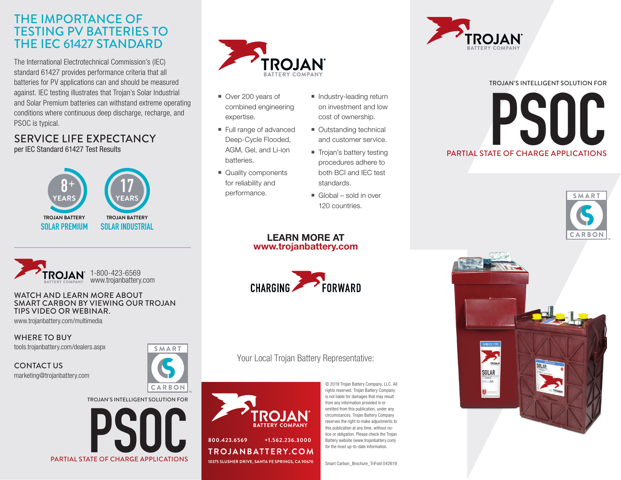### THE IMPORTANCE OF TESTING PV BATTERIES TO THE IEC 61427 STANDARD

The International Electrotechnical Commission's (IEC) standard 61427 provides performance criteria that all batteries for PV applications can and should be measured against. IEC testing illustrates that Trojan's Solar Industrial and Solar Premium batteries can withstand extreme operating conditions where continuous deep discharge, recharge, and PSOC is typical.

### SERVICE LIFE EXPECTANCY per IEC Standard 61427 Test Results





#### WATCH AND LEARN MORE ABOUT SMART CARBON BY VIEWING OUR TROJAN TIPS VIDEO OR WEBINAR.

PARTIAL STATE OF CHARGE APPLICATIONS

**PSOC SECRETARGE APPLICATIONS** 

www.trojanbattery.com/multimedia

WHERE TO BUY tools.trojanbattery.com/dealers.aspx

CONTACT US marketing@trojanbattery.com





- Over 200 years of combined engineering expertise.
- Full range of advanced Deep-Cycle Flooded, AGM, Gel, and Li-ion batteries.
- Quality components for reliability and performance.
- Industry-leading return on investment and low cost of ownership.
- Outstanding technical and customer service.
- Trojan's battery testing procedures adhere to both BCI and IEC test standards.
- $\blacksquare$  Global sold in over 120 countries.

#### LEARN MORE AT www.trojanbattery.com



### Your Local Trojan Battery Representative:



© 2019 Trojan Battery Company, LLC. All rights reserved. Trojan Battery Company is not liable for damages that may result from any information provided in or omitted from this publication, under any circumstances. Trojan Battery Company reserves the right to make adjustments to this publication at any time, without notice or obligation. Please check the Trojan Battery website (www.trojanbattery.com) for the most up-to-date information.

Smart Carbon\_Brochure\_TriFold 042619



# PARTIAL STATE OF CHARGE APPLICATIONS **PSOC** TROJAN'S INTELLIGENT SOLUTION FOR